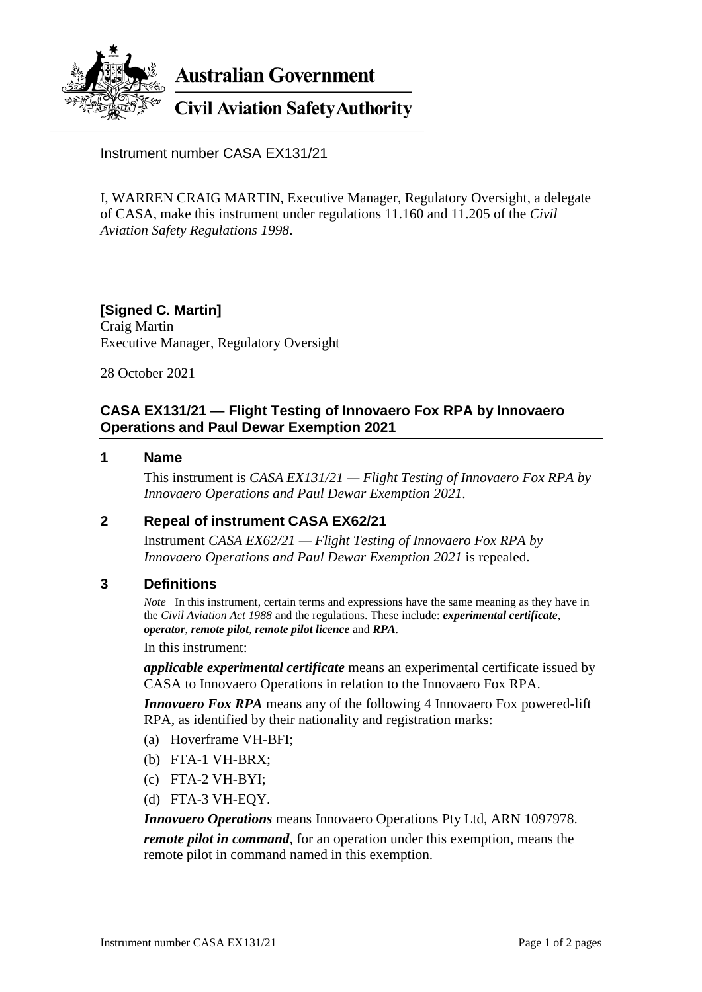

**Australian Government** 

**Civil Aviation Safety Authority** 

Instrument number CASA EX131/21

I, WARREN CRAIG MARTIN, Executive Manager, Regulatory Oversight, a delegate of CASA, make this instrument under regulations 11.160 and 11.205 of the *Civil Aviation Safety Regulations 1998*.

**[Signed C. Martin]** Craig Martin Executive Manager, Regulatory Oversight

28 October 2021

# **CASA EX131/21 — Flight Testing of Innovaero Fox RPA by Innovaero Operations and Paul Dewar Exemption 2021**

#### **1 Name**

This instrument is *CASA EX131/21 — Flight Testing of Innovaero Fox RPA by Innovaero Operations and Paul Dewar Exemption 2021*.

### **2 Repeal of instrument CASA EX62/21**

Instrument *CASA EX62/21 — Flight Testing of Innovaero Fox RPA by Innovaero Operations and Paul Dewar Exemption 2021* is repealed.

### **3 Definitions**

*Note* In this instrument, certain terms and expressions have the same meaning as they have in the *Civil Aviation Act 1988* and the regulations. These include: *experimental certificate*, *operator*, *remote pilot*, *remote pilot licence* and *RPA*.

In this instrument:

*applicable experimental certificate* means an experimental certificate issued by CASA to Innovaero Operations in relation to the Innovaero Fox RPA.

*Innovaero Fox RPA* means any of the following 4 Innovaero Fox powered-lift RPA, as identified by their nationality and registration marks:

- (a) Hoverframe VH-BFI;
- (b) FTA-1 VH-BRX;
- (c) FTA-2 VH-BYI;
- (d) FTA-3 VH-EQY.

*Innovaero Operations* means Innovaero Operations Pty Ltd, ARN 1097978.

*remote pilot in command*, for an operation under this exemption, means the remote pilot in command named in this exemption.